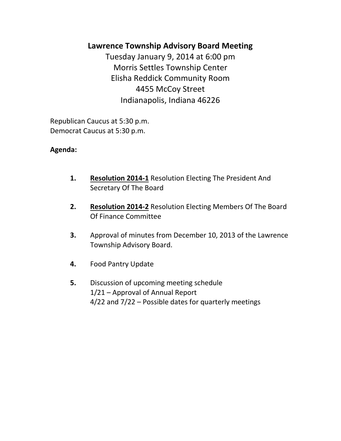# **Lawrence Township Advisory Board Meeting**

Tuesday January 9, 2014 at 6:00 pm Morris Settles Township Center Elisha Reddick Community Room 4455 McCoy Street Indianapolis, Indiana 46226

Republican Caucus at 5:30 p.m. Democrat Caucus at 5:30 p.m.

## **Agenda:**

- **1. Resolution 2014-1** Resolution Electing The President And Secretary Of The Board
- **2. Resolution 2014-2** Resolution Electing Members Of The Board Of Finance Committee
- **3.** Approval of minutes from December 10, 2013 of the Lawrence Township Advisory Board.
- **4.** Food Pantry Update
- **5.** Discussion of upcoming meeting schedule 1/21 – Approval of Annual Report 4/22 and 7/22 – Possible dates for quarterly meetings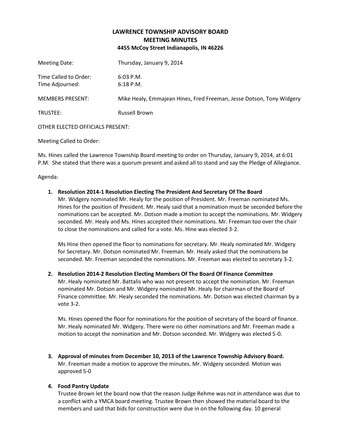### **LAWRENCE TOWNSHIP ADVISORY BOARD MEETING MINUTES 4455 McCoy Street Indianapolis, IN 46226**

| Meeting Date:                            | Thursday, January 9, 2014                                            |
|------------------------------------------|----------------------------------------------------------------------|
| Time Called to Order:<br>Time Adjourned: | $6:03$ P.M.<br>$6:18$ P.M.                                           |
| <b>MEMBERS PRESENT:</b>                  | Mike Healy, Emmajean Hines, Fred Freeman, Jesse Dotson, Tony Widgery |
| TRUSTEE:                                 | <b>Russell Brown</b>                                                 |
| OTHER ELECTED OFFICIALS PRESENT:         |                                                                      |

Meeting Called to Order:

Ms. Hines called the Lawrence Township Board meeting to order on Thursday, January 9, 2014, at 6:01 P.M. She stated that there was a quorum present and asked all to stand and say the Pledge of Allegiance.

Agenda:

#### **1. Resolution 2014-1 Resolution Electing The President And Secretary Of The Board**

Mr. Widgery nominated Mr. Healy for the position of President. Mr. Freeman nominated Ms. Hines for the position of President. Mr. Healy said that a nomination must be seconded before the nominations can be accepted. Mr. Dotson made a motion to accept the nominations. Mr. Widgery seconded. Mr. Healy and Ms. Hines accepted their nominations. Mr. Freeman too over the chair to close the nominations and called for a vote. Ms. Hine was elected 3-2.

Ms Hine then opened the floor to nominations for secretary. Mr. Healy nominated Mr. Widgery for Secretary. Mr. Dotson nominated Mr. Freeman. Mr. Healy asked that the nominations be seconded. Mr. Freeman seconded the nominations. Mr. Freeman was elected to secretary 3-2.

#### **2. Resolution 2014-2 Resolution Electing Members Of The Board Of Finance Committee**

Mr. Healy nominated Mr. Battalis who was not present to accept the nomination. Mr. Freeman nominated Mr. Dotson and Mr. Widgery nominated Mr. Healy for chairman of the Board of Finance committee. Mr. Healy seconded the nominations. Mr. Dotson was elected chairman by a vote 3-2.

Ms. Hines opened the floor for nominations for the position of secretary of the board of finance. Mr. Healy nominated Mr. Widgery. There were no other nominations and Mr. Freeman made a motion to accept the nomination and Mr. Dotson seconded. Mr. Widgery was elected 5-0.

**3. Approval of minutes from December 10, 2013 of the Lawrence Township Advisory Board.** Mr. Freeman made a motion to approve the minutes. Mr. Widgery seconded. Motion was approved 5-0

#### **4. Food Pantry Update**

Trustee Brown let the board now that the reason Judge Rehme was not in attendance was due to a conflict with a YMCA board meeting. Trustee Brown then showed the material board to the members and said that bids for construction were due in on the following day. 10 general